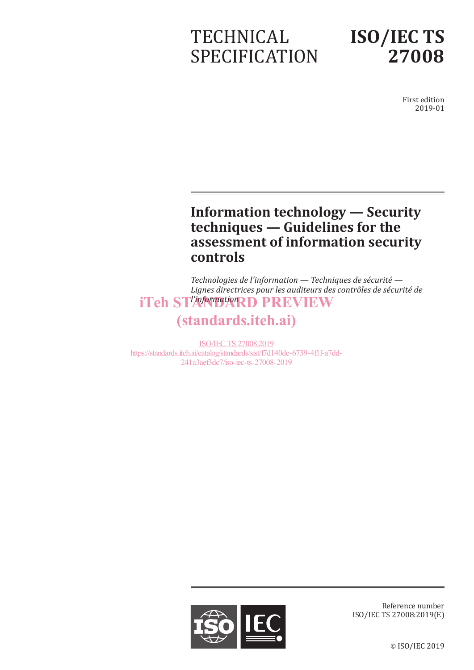# **TECHNICAL** SPECIFICATION

# **ISO/IEC TS 27008**

First edition 2019-01

## **Information technology — Security techniques — Guidelines for the assessment of information security controls**

*Technologies de l'information — Techniques de sécurité — Lignes directrices pour les auditeurs des contrôles de sécurité de*  iTeh ST<sup>P</sup>A<sup>n</sup>ManDARD PREVIEW

## (standards.iteh.ai)

ISO/IEC TS 27008:2019 https://standards.iteh.ai/catalog/standards/sist/f7d140de-6739-4f1f-a7dd-241a3aef3dc7/iso-iec-ts-27008-2019



Reference number ISO/IEC TS 27008:2019(E)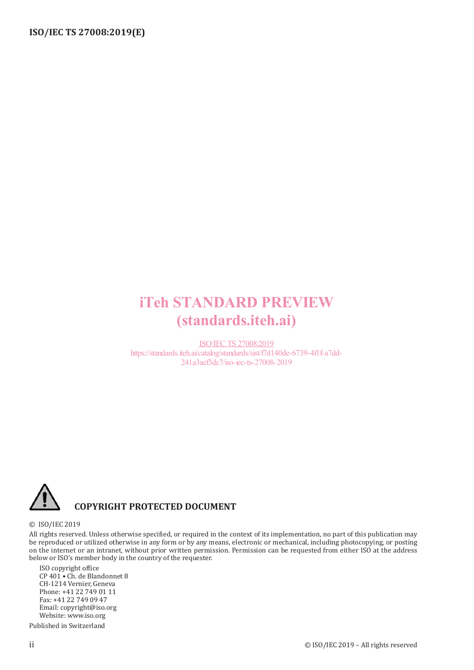## iTeh STANDARD PREVIEW (standards.iteh.ai)

ISO/IEC TS 27008:2019 https://standards.iteh.ai/catalog/standards/sist/f7d140de-6739-4f1f-a7dd-241a3aef3dc7/iso-iec-ts-27008-2019



#### **COPYRIGHT PROTECTED DOCUMENT**

#### © ISO/IEC 2019

All rights reserved. Unless otherwise specified, or required in the context of its implementation, no part of this publication may be reproduced or utilized otherwise in any form or by any means, electronic or mechanical, including photocopying, or posting on the internet or an intranet, without prior written permission. Permission can be requested from either ISO at the address below or ISO's member body in the country of the requester.

ISO copyright office CP 401 • Ch. de Blandonnet 8 CH-1214 Vernier, Geneva Phone: +41 22 749 01 11 Fax: +41 22 749 09 47 Email: copyright@iso.org Website: www.iso.org

Published in Switzerland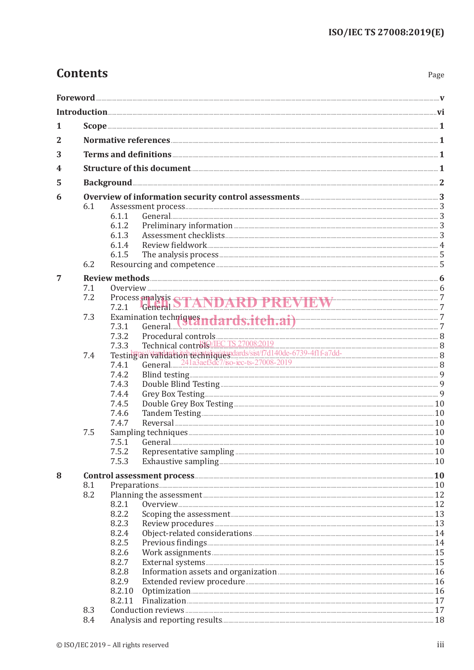Page

### **Contents**

| 1              |     |                                                                                                                                                                                                                                      |                                                                                                                                                                                                                                                                                                                                                                                                                                                                    |  |  |
|----------------|-----|--------------------------------------------------------------------------------------------------------------------------------------------------------------------------------------------------------------------------------------|--------------------------------------------------------------------------------------------------------------------------------------------------------------------------------------------------------------------------------------------------------------------------------------------------------------------------------------------------------------------------------------------------------------------------------------------------------------------|--|--|
| $\overline{2}$ |     |                                                                                                                                                                                                                                      |                                                                                                                                                                                                                                                                                                                                                                                                                                                                    |  |  |
| 3              |     |                                                                                                                                                                                                                                      |                                                                                                                                                                                                                                                                                                                                                                                                                                                                    |  |  |
| 4              |     |                                                                                                                                                                                                                                      |                                                                                                                                                                                                                                                                                                                                                                                                                                                                    |  |  |
| 5              |     | Background <u>with a set of the set of the set of the set of the set of the set of the set of the set of the set of the set of the set of the set of the set of the set of the set of the set of the set of the set of the set o</u> |                                                                                                                                                                                                                                                                                                                                                                                                                                                                    |  |  |
| 6              |     |                                                                                                                                                                                                                                      | Overview of information security control assessments <b>All and Security 2018</b>                                                                                                                                                                                                                                                                                                                                                                                  |  |  |
|                | 6.1 |                                                                                                                                                                                                                                      |                                                                                                                                                                                                                                                                                                                                                                                                                                                                    |  |  |
|                |     | 6.1.1                                                                                                                                                                                                                                |                                                                                                                                                                                                                                                                                                                                                                                                                                                                    |  |  |
|                |     | 6.1.2                                                                                                                                                                                                                                |                                                                                                                                                                                                                                                                                                                                                                                                                                                                    |  |  |
|                |     | 6.1.3                                                                                                                                                                                                                                |                                                                                                                                                                                                                                                                                                                                                                                                                                                                    |  |  |
|                |     | 6.1.4                                                                                                                                                                                                                                |                                                                                                                                                                                                                                                                                                                                                                                                                                                                    |  |  |
|                |     | 6.1.5                                                                                                                                                                                                                                |                                                                                                                                                                                                                                                                                                                                                                                                                                                                    |  |  |
|                | 6.2 |                                                                                                                                                                                                                                      |                                                                                                                                                                                                                                                                                                                                                                                                                                                                    |  |  |
|                |     |                                                                                                                                                                                                                                      |                                                                                                                                                                                                                                                                                                                                                                                                                                                                    |  |  |
| $\overline{7}$ | 7.1 |                                                                                                                                                                                                                                      |                                                                                                                                                                                                                                                                                                                                                                                                                                                                    |  |  |
|                | 7.2 |                                                                                                                                                                                                                                      |                                                                                                                                                                                                                                                                                                                                                                                                                                                                    |  |  |
|                |     |                                                                                                                                                                                                                                      | Process analysis STANDARD PREVIEW 7.2.1 General STANDARD PREVIEW 7                                                                                                                                                                                                                                                                                                                                                                                                 |  |  |
|                | 7.3 |                                                                                                                                                                                                                                      |                                                                                                                                                                                                                                                                                                                                                                                                                                                                    |  |  |
|                |     |                                                                                                                                                                                                                                      | Examination techniques ndards.itch.ai) 7.3.1 General 7                                                                                                                                                                                                                                                                                                                                                                                                             |  |  |
|                |     |                                                                                                                                                                                                                                      |                                                                                                                                                                                                                                                                                                                                                                                                                                                                    |  |  |
|                |     |                                                                                                                                                                                                                                      |                                                                                                                                                                                                                                                                                                                                                                                                                                                                    |  |  |
|                | 7.4 |                                                                                                                                                                                                                                      | $\begin{tabular}{ll} 7.3.2 & \textbf{Procedural controls} & \\ 7.3.3 & \textbf{Technical control} & \\ \hline \textbf{Test} & \textbf{St} & \textbf{St} \\ \end{tabular} \begin{tabular}{ll} \textbf{7.3.3} & \textbf{Rechnical control} & \\ 8 & \textbf{7.4.1} & \textbf{General.} & \\ \end{tabular} \end{tabular} \begin{tabular}{ll} \textbf{8.3.1} & \textbf{8.3.2} & \textbf{9.4} & \textbf{1.4} & \textbf{1.4} & \textbf{1.4} & \textbf{1.4} & \textbf{1.$ |  |  |
|                |     |                                                                                                                                                                                                                                      |                                                                                                                                                                                                                                                                                                                                                                                                                                                                    |  |  |
|                |     | 7.4.2                                                                                                                                                                                                                                |                                                                                                                                                                                                                                                                                                                                                                                                                                                                    |  |  |
|                |     | 7.4.3                                                                                                                                                                                                                                |                                                                                                                                                                                                                                                                                                                                                                                                                                                                    |  |  |
|                |     | 7.4.4                                                                                                                                                                                                                                |                                                                                                                                                                                                                                                                                                                                                                                                                                                                    |  |  |
|                |     | 7.4.5                                                                                                                                                                                                                                |                                                                                                                                                                                                                                                                                                                                                                                                                                                                    |  |  |
|                |     | 7.4.6                                                                                                                                                                                                                                |                                                                                                                                                                                                                                                                                                                                                                                                                                                                    |  |  |
|                |     | 7.4.7                                                                                                                                                                                                                                |                                                                                                                                                                                                                                                                                                                                                                                                                                                                    |  |  |
|                | 7.5 |                                                                                                                                                                                                                                      |                                                                                                                                                                                                                                                                                                                                                                                                                                                                    |  |  |
|                |     | 7.5.1                                                                                                                                                                                                                                |                                                                                                                                                                                                                                                                                                                                                                                                                                                                    |  |  |
|                |     | 7.5.2                                                                                                                                                                                                                                |                                                                                                                                                                                                                                                                                                                                                                                                                                                                    |  |  |
|                |     | 7.5.3                                                                                                                                                                                                                                |                                                                                                                                                                                                                                                                                                                                                                                                                                                                    |  |  |
| 8              |     |                                                                                                                                                                                                                                      |                                                                                                                                                                                                                                                                                                                                                                                                                                                                    |  |  |
|                | 8.1 |                                                                                                                                                                                                                                      |                                                                                                                                                                                                                                                                                                                                                                                                                                                                    |  |  |
|                | 8.2 |                                                                                                                                                                                                                                      |                                                                                                                                                                                                                                                                                                                                                                                                                                                                    |  |  |
|                |     | 8.2.1                                                                                                                                                                                                                                |                                                                                                                                                                                                                                                                                                                                                                                                                                                                    |  |  |
|                |     | 8.2.2                                                                                                                                                                                                                                | Scoping the assessment 13                                                                                                                                                                                                                                                                                                                                                                                                                                          |  |  |
|                |     | 8.2.3                                                                                                                                                                                                                                |                                                                                                                                                                                                                                                                                                                                                                                                                                                                    |  |  |
|                |     | 8.2.4                                                                                                                                                                                                                                |                                                                                                                                                                                                                                                                                                                                                                                                                                                                    |  |  |
|                |     | 8.2.5                                                                                                                                                                                                                                |                                                                                                                                                                                                                                                                                                                                                                                                                                                                    |  |  |
|                |     | 8.2.6                                                                                                                                                                                                                                |                                                                                                                                                                                                                                                                                                                                                                                                                                                                    |  |  |
|                |     | 8.2.7                                                                                                                                                                                                                                |                                                                                                                                                                                                                                                                                                                                                                                                                                                                    |  |  |
|                |     | 8.2.8                                                                                                                                                                                                                                |                                                                                                                                                                                                                                                                                                                                                                                                                                                                    |  |  |
|                |     | 8.2.9                                                                                                                                                                                                                                |                                                                                                                                                                                                                                                                                                                                                                                                                                                                    |  |  |
|                |     | 8.2.10                                                                                                                                                                                                                               |                                                                                                                                                                                                                                                                                                                                                                                                                                                                    |  |  |
|                |     | 8.2.11                                                                                                                                                                                                                               |                                                                                                                                                                                                                                                                                                                                                                                                                                                                    |  |  |

Foreword <u>with the contract of the contract of the contract of the contract of the contract of the contract of the contract of the contract of the contract of the contract of the contract of the contract of the contract of</u>

8.3

8.4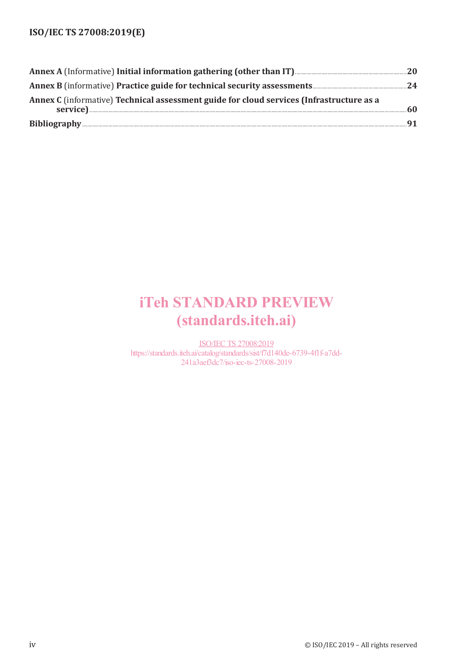| Annex C (informative) Technical assessment guide for cloud services (Infrastructure as a | 60 |
|------------------------------------------------------------------------------------------|----|
|                                                                                          |    |

## iTeh STANDARD PREVIEW (standards.iteh.ai)

ISO/IEC TS 27008:2019 https://standards.iteh.ai/catalog/standards/sist/f7d140de-6739-4f1f-a7dd-241a3aef3dc7/iso-iec-ts-27008-2019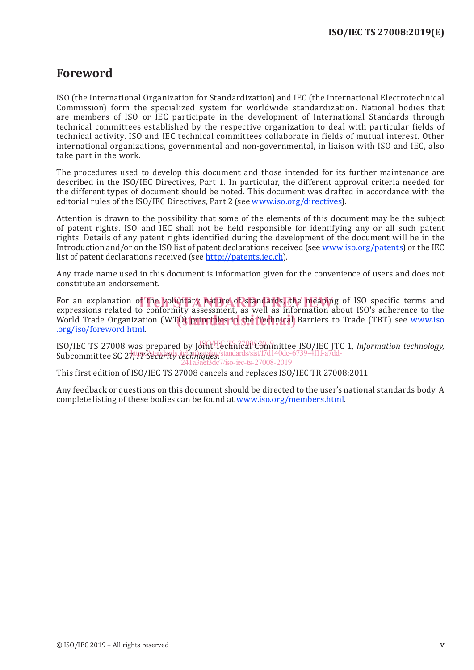### **Foreword**

ISO (the International Organization for Standardization) and IEC (the International Electrotechnical Commission) form the specialized system for worldwide standardization. National bodies that are members of ISO or IEC participate in the development of International Standards through technical committees established by the respective organization to deal with particular fields of technical activity. ISO and IEC technical committees collaborate in fields of mutual interest. Other international organizations, governmental and non-governmental, in liaison with ISO and IEC, also take part in the work.

The procedures used to develop this document and those intended for its further maintenance are described in the ISO/IEC Directives, Part 1. In particular, the different approval criteria needed for the different types of document should be noted. This document was drafted in accordance with the editorial rules of the ISO/IEC Directives, Part 2 (see www.iso.org/directives).

Attention is drawn to the possibility that some of the elements of this document may be the subject of patent rights. ISO and IEC shall not be held responsible for identifying any or all such patent rights. Details of any patent rights identified during the development of the document will be in the Introduction and/or on the ISO list of patent declarations received (see www.iso.org/patents) or the IEC list of patent declarations received (see http://patents.iec.ch).

Any trade name used in this document is information given for the convenience of users and does not constitute an endorsement.

For an explanation of the voluntary nature of standards, the meaning of ISO specific terms and<br>expressions related to conformity assessment, as well as information about ISO's adherence to the expressions related to conformity assessment, as well as information about ISO's adherence to the world Trade Organization (WTO) principles in the Technical Barriers to Trade (TBT) see www.iso .org/iso/foreword.html.

ISO/IEC TS 27008 was prepared by Joint Technical Committee ISO/IEC JTC 1, *Information technology*, Subcommittee SC 27, *IT Security techniques*. https://standards.iteh.ai/catalog/standards/sist/f7d140de-6739-4f1f-a7dd- $/$ iso-iec-ts-27008-2019

This first edition of ISO/IEC TS 27008 cancels and replaces ISO/IEC TR 27008:2011.

Any feedback or questions on this document should be directed to the user's national standards body. A complete listing of these bodies can be found at www.iso.org/members.html.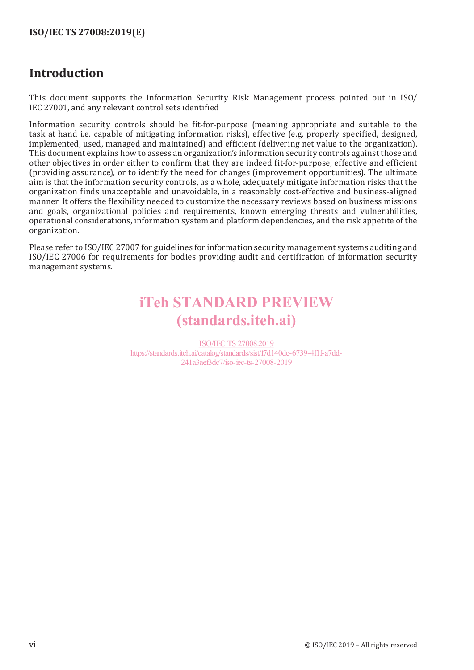### **Introduction**

This document supports the Information Security Risk Management process pointed out in ISO/ IEC 27001, and any relevant control sets identified

Information security controls should be fit-for-purpose (meaning appropriate and suitable to the task at hand i.e. capable of mitigating information risks), effective (e.g. properly specified, designed, implemented, used, managed and maintained) and efficient (delivering net value to the organization). This document explains how to assess an organization's information security controls against those and other objectives in order either to confirm that they are indeed fit-for-purpose, effective and efficient (providing assurance), or to identify the need for changes (improvement opportunities). The ultimate aim is that the information security controls, as a whole, adequately mitigate information risks that the organization finds unacceptable and unavoidable, in a reasonably cost-effective and business-aligned manner. It offers the flexibility needed to customize the necessary reviews based on business missions and goals, organizational policies and requirements, known emerging threats and vulnerabilities, operational considerations, information system and platform dependencies, and the risk appetite of the organization.

Please refer to ISO/IEC 27007 for guidelines for information security management systems auditing and ISO/IEC 27006 for requirements for bodies providing audit and certification of information security management systems.

## iTeh STANDARD PREVIEW (standards.iteh.ai)

ISO/IEC TS 27008:2019 https://standards.iteh.ai/catalog/standards/sist/f7d140de-6739-4f1f-a7dd-241a3aef3dc7/iso-iec-ts-27008-2019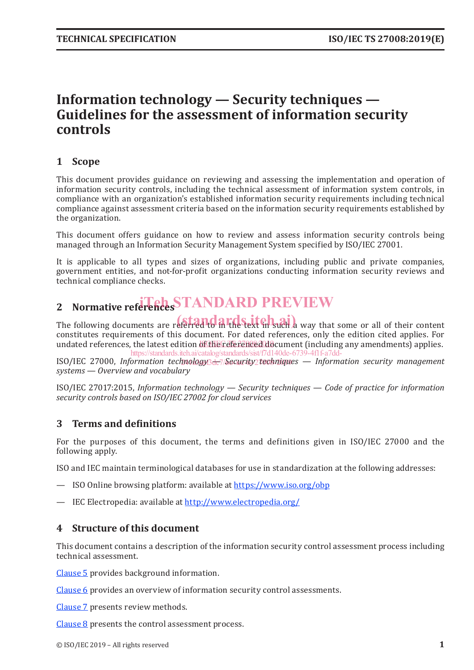### **Information technology — Security techniques — Guidelines for the assessment of information security controls**

#### **1 Scope**

This document provides guidance on reviewing and assessing the implementation and operation of information security controls, including the technical assessment of information system controls, in compliance with an organization's established information security requirements including technical compliance against assessment criteria based on the information security requirements established by the organization.

This document offers guidance on how to review and assess information security controls being managed through an Information Security Management System specified by ISO/IEC 27001.

It is applicable to all types and sizes of organizations, including public and private companies, government entities, and not-for-profit organizations conducting information security reviews and technical compliance checks.

## 2 Normative references STANDARD PREVIEW

The following documents are referred to in the text in such a way that some or all of their content constitutes requirements of this document. For dated references, only the edition cited applies. For undated references, the latest edition of the referenced document (including any amendments) applies. https://standards.iteh.ai/catalog/standards/sist/f7d140de-6739-4f1f-a7dd-

ISO/IEC 27000, Information technology<sup>3</sup>de7/Security2techniques — Information security management *systems — Overview and vocabulary*

ISO/IEC 27017:2015, *Information technology — Security techniques — Code of practice for information security controls based on ISO/IEC 27002 for cloud services*

#### **3 Terms and definitions**

For the purposes of this document, the terms and definitions given in ISO/IEC 27000 and the following apply.

ISO and IEC maintain terminological databases for use in standardization at the following addresses:

- ISO Online browsing platform: available at https://www.iso.org/obp
- IEC Electropedia: available at http://www.electropedia.org/

#### **4 Structure of this document**

This document contains a description of the information security control assessment process including technical assessment.

Clause 5 provides background information.

Clause 6 provides an overview of information security control assessments.

Clause 7 presents review methods.

Clause 8 presents the control assessment process.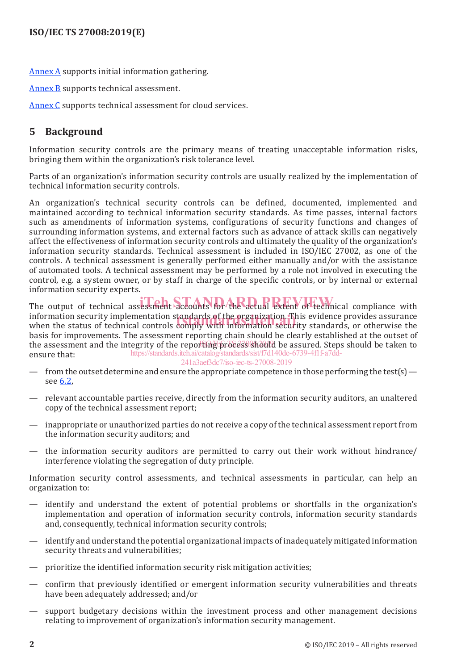Annex A supports initial information gathering.

Annex B supports technical assessment.

Annex C supports technical assessment for cloud services.

#### **5 Background**

Information security controls are the primary means of treating unacceptable information risks, bringing them within the organization's risk tolerance level.

Parts of an organization's information security controls are usually realized by the implementation of technical information security controls.

An organization's technical security controls can be defined, documented, implemented and maintained according to technical information security standards. As time passes, internal factors such as amendments of information systems, configurations of security functions and changes of surrounding information systems, and external factors such as advance of attack skills can negatively affect the effectiveness of information security controls and ultimately the quality of the organization's information security standards. Technical assessment is included in ISO/IEC 27002, as one of the controls. A technical assessment is generally performed either manually and/or with the assistance of automated tools. A technical assessment may be performed by a role not involved in executing the control, e.g. a system owner, or by staff in charge of the specific controls, or by internal or external information security experts.

The output of technical assessment accounts for the actual extent of technical compliance with information security implementation standards of the organization. This evidence provides assurance<br>when the status of technical controls comply with information security standards, or otherwise the when the status of technical controls comply with information security standards, or otherwise the basis for improvements. The assessment reporting chain should be clearly established at the outset of the assessment and the integrity of the reporting process should be assured. Steps should be taken to ensure that: https://standards.iteh.ai/catalog/standards/sist/f7d140de-6739-4f1f-a7dd-

241a3aef3dc7/iso-iec-ts-27008-2019

- from the outset determine and ensure the appropriate competence in those performing the test(s) see 6.2,
- relevant accountable parties receive, directly from the information security auditors, an unaltered copy of the technical assessment report;
- inappropriate or unauthorized parties do not receive a copy of the technical assessment report from the information security auditors; and
- the information security auditors are permitted to carry out their work without hindrance/ interference violating the segregation of duty principle.

Information security control assessments, and technical assessments in particular, can help an organization to:

- identify and understand the extent of potential problems or shortfalls in the organization's implementation and operation of information security controls, information security standards and, consequently, technical information security controls;
- identify and understand the potential organizational impacts of inadequately mitigated information security threats and vulnerabilities;
- prioritize the identified information security risk mitigation activities;
- confirm that previously identified or emergent information security vulnerabilities and threats have been adequately addressed; and/or
- support budgetary decisions within the investment process and other management decisions relating to improvement of organization's information security management.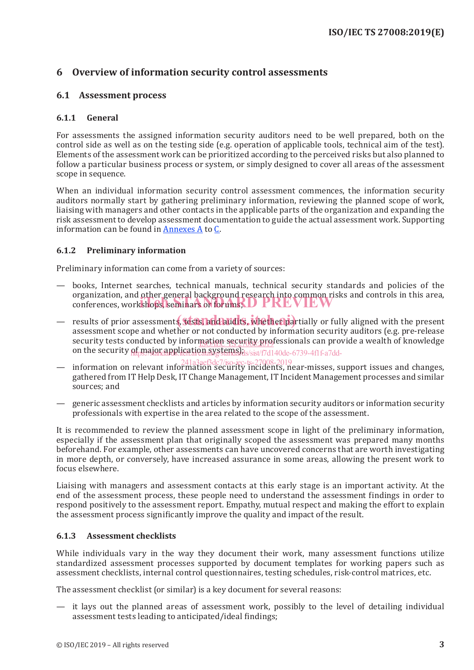#### **6 Overview of information security control assessments**

#### **6.1 Assessment process**

#### **6.1.1 General**

For assessments the assigned information security auditors need to be well prepared, both on the control side as well as on the testing side (e.g. operation of applicable tools, technical aim of the test). Elements of the assessment work can be prioritized according to the perceived risks but also planned to follow a particular business process or system, or simply designed to cover all areas of the assessment scope in sequence.

When an individual information security control assessment commences, the information security auditors normally start by gathering preliminary information, reviewing the planned scope of work, liaising with managers and other contacts in the applicable parts of the organization and expanding the risk assessment to develop assessment documentation to guide the actual assessment work. Supporting information can be found in Annexes A to C.

#### **6.1.2 Preliminary information**

Preliminary information can come from a variety of sources:

- books, Internet searches, technical manuals, technical security standards and policies of the organization, and other general background research into common risks and controls in this area, organization, and other general packground research into common risk<br>conferences, workshops, seminars or forums;  $\bf{D}$  PREVIEW
- results of prior assessments, tests, and audits, whether partially or fully aligned with the present assessment scope and whether or not conducted by information security auditors (e.g. pre-release security tests conducted by information security professionals can provide a wealth of knowledge on the security of major application systems) ds/sist/f7d140de-6739-4f1f-a7dd-
- information on relevant information security incidents, near-misses, support issues and changes, gathered from IT Help Desk, IT Change Management, IT Incident Management processes and similar sources; and 241a3aef3dc7/iso-iec-ts-27008-2019
- generic assessment checklists and articles by information security auditors or information security professionals with expertise in the area related to the scope of the assessment.

It is recommended to review the planned assessment scope in light of the preliminary information, especially if the assessment plan that originally scoped the assessment was prepared many months beforehand. For example, other assessments can have uncovered concerns that are worth investigating in more depth, or conversely, have increased assurance in some areas, allowing the present work to focus elsewhere.

Liaising with managers and assessment contacts at this early stage is an important activity. At the end of the assessment process, these people need to understand the assessment findings in order to respond positively to the assessment report. Empathy, mutual respect and making the effort to explain the assessment process significantly improve the quality and impact of the result.

#### **6.1.3 Assessment checklists**

While individuals vary in the way they document their work, many assessment functions utilize standardized assessment processes supported by document templates for working papers such as assessment checklists, internal control questionnaires, testing schedules, risk-control matrices, etc.

The assessment checklist (or similar) is a key document for several reasons:

— it lays out the planned areas of assessment work, possibly to the level of detailing individual assessment tests leading to anticipated/ideal findings;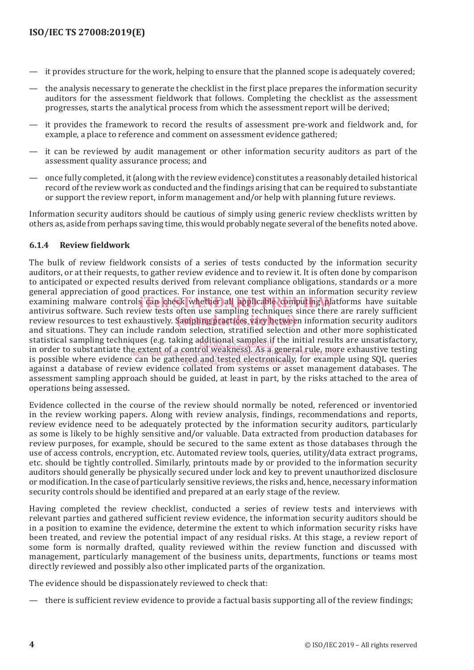- it provides structure for the work, helping to ensure that the planned scope is adequately covered;
- the analysis necessary to generate the checklist in the first place prepares the information security auditors for the assessment fieldwork that follows. Completing the checklist as the assessment progresses, starts the analytical process from which the assessment report will be derived;
- it provides the framework to record the results of assessment pre-work and fieldwork and, for example, a place to reference and comment on assessment evidence gathered;
- it can be reviewed by audit management or other information security auditors as part of the assessment quality assurance process; and
- once fully completed, it (along with the review evidence) constitutes a reasonably detailed historical record of the review work as conducted and the findings arising that can be required to substantiate or support the review report, inform management and/or help with planning future reviews.

Information security auditors should be cautious of simply using generic review checklists written by others as, aside from perhaps saving time, this would probably negate several of the benefits noted above.

#### **6.1.4 Review fieldwork**

The bulk of review fieldwork consists of a series of tests conducted by the information security auditors, or at their requests, to gather review evidence and to review it. It is often done by comparison to anticipated or expected results derived from relevant compliance obligations, standards or a more general appreciation of good practices. For instance, one test within an information security review examining malware controls can check whether all applicable computing platforms have suitable examining malware controls can check whether all applicable computing platforms have suitable antivirus software. Such review tests often use sampling techniques since there are rarely sufficient review resources to test exhaustively. Sampling practices, vary between information security auditors review resources to test exhaustively. Sampling practices, vary between information security auditors and situations. Th and situations. They can include random selection, stratified selection and other more sophisticated statistical sampling techniques (e.g. taking additional samples if the initial results are unsatisfactory, in order to substantiate the extent of a control weakness). As a general rule, more exhaustive testing in the standards. The and catalogy standards. As a general rule, more exhaustive testing is possible where evidence can be gathered and tested electronically, for example using SQL queries in the contract of the contract of the contract of the contract of the contract of the contract of the contract of the con against a database of review evidence collated from systems or asset management databases. The assessment sampling approach should be guided, at least in part, by the risks attached to the area of operations being assessed.

Evidence collected in the course of the review should normally be noted, referenced or inventoried in the review working papers. Along with review analysis, findings, recommendations and reports, review evidence need to be adequately protected by the information security auditors, particularly as some is likely to be highly sensitive and/or valuable. Data extracted from production databases for review purposes, for example, should be secured to the same extent as those databases through the use of access controls, encryption, etc. Automated review tools, queries, utility/data extract programs, etc. should be tightly controlled. Similarly, printouts made by or provided to the information security auditors should generally be physically secured under lock and key to prevent unauthorized disclosure or modification. In the case of particularly sensitive reviews, the risks and, hence, necessary information security controls should be identified and prepared at an early stage of the review.

Having completed the review checklist, conducted a series of review tests and interviews with relevant parties and gathered sufficient review evidence, the information security auditors should be in a position to examine the evidence, determine the extent to which information security risks have been treated, and review the potential impact of any residual risks. At this stage, a review report of some form is normally drafted, quality reviewed within the review function and discussed with management, particularly management of the business units, departments, functions or teams most directly reviewed and possibly also other implicated parts of the organization.

The evidence should be dispassionately reviewed to check that:

— there is sufficient review evidence to provide a factual basis supporting all of the review findings;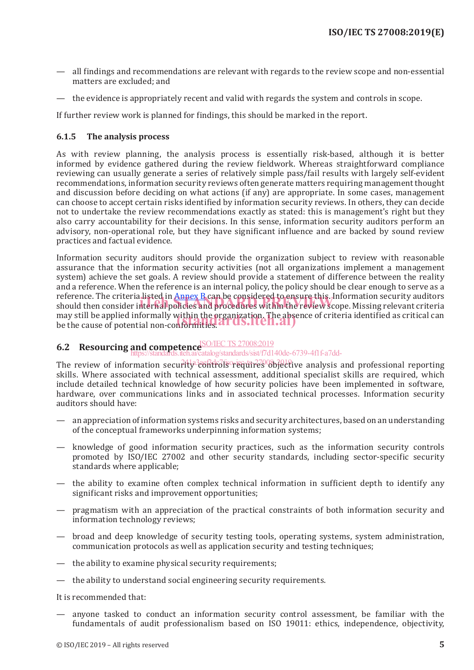- all findings and recommendations are relevant with regards to the review scope and non-essential matters are excluded; and
- the evidence is appropriately recent and valid with regards the system and controls in scope.

If further review work is planned for findings, this should be marked in the report.

#### **6.1.5 The analysis process**

As with review planning, the analysis process is essentially risk-based, although it is better informed by evidence gathered during the review fieldwork. Whereas straightforward compliance reviewing can usually generate a series of relatively simple pass/fail results with largely self-evident recommendations, information security reviews often generate matters requiring management thought and discussion before deciding on what actions (if any) are appropriate. In some cases, management can choose to accept certain risks identified by information security reviews. In others, they can decide not to undertake the review recommendations exactly as stated: this is management's right but they also carry accountability for their decisions. In this sense, information security auditors perform an advisory, non-operational role, but they have significant influence and are backed by sound review practices and factual evidence.

Information security auditors should provide the organization subject to review with reasonable assurance that the information security activities (not all organizations implement a management system) achieve the set goals. A review should provide a statement of difference between the reality and a reference. When the reference is an internal policy, the policy should be clear enough to serve as a reference. The criteria listed in Annex B can be considered to ensure this. Information security auditors reference. The criteria listed in <mark>Annex B</mark> can be considered to ensure this. Information security auditors<br>should then consider internal policies and procedures within the review scope. Missing relevant criteria may still be applied informally within the organization. The absence of criteria identified as critical can may still be applied informally within the organization. The abse<br>be the cause of potential non-conformities. All US.ITCH. All J

### **6.2 Resourcing and competence ISO/IEC TS 27008:2019**

https://standards/sist/f7d140de-6739-4f1f-a7dd-

The review of information security<sup>3</sup>controls requires objective analysis and professional reporting skills. Where associated with technical assessment, additional specialist skills are required, which include detailed technical knowledge of how security policies have been implemented in software, hardware, over communications links and in associated technical processes. Information security auditors should have:

- an appreciation of information systems risks and security architectures, based on an understanding of the conceptual frameworks underpinning information systems;
- knowledge of good information security practices, such as the information security controls promoted by ISO/IEC 27002 and other security standards, including sector-specific security standards where applicable;
- the ability to examine often complex technical information in sufficient depth to identify any significant risks and improvement opportunities;
- pragmatism with an appreciation of the practical constraints of both information security and information technology reviews;
- broad and deep knowledge of security testing tools, operating systems, system administration, communication protocols as well as application security and testing techniques;
- the ability to examine physical security requirements;
- the ability to understand social engineering security requirements.

It is recommended that:

— anyone tasked to conduct an information security control assessment, be familiar with the fundamentals of audit professionalism based on ISO 19011: ethics, independence, objectivity,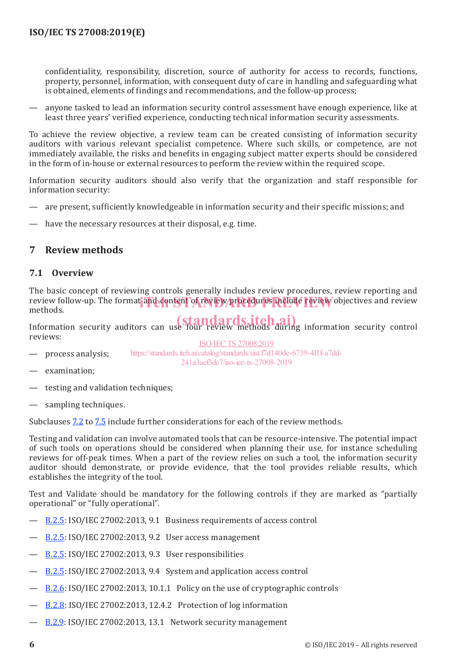confidentiality, responsibility, discretion, source of authority for access to records, functions, property, personnel, information, with consequent duty of care in handling and safeguarding what is obtained, elements of findings and recommendations, and the follow-up process;

— anyone tasked to lead an information security control assessment have enough experience, like at least three years' verified experience, conducting technical information security assessments.

To achieve the review objective, a review team can be created consisting of information security auditors with various relevant specialist competence. Where such skills, or competence, are not immediately available, the risks and benefits in engaging subject matter experts should be considered in the form of in-house or external resources to perform the review within the required scope.

Information security auditors should also verify that the organization and staff responsible for information security:

- are present, sufficiently knowledgeable in information security and their specific missions; and
- have the necessary resources at their disposal, e.g. time.

#### **7 Review methods**

#### **7.1 Overview**

The basic concept of reviewing controls generally includes review procedures, review reporting and review follow-up. The format and content of review procedures include review objectives and review<br>methods methods.

Information security auditors can use four review methods during information security control reviews:

process analysis;

ISO/IEC TS 27008:2019 https://standards.iteh.ai/catalog/standards/sist/f7d140de-6739-4f1f-a7dd-241a3aef3dc7/iso-iec-ts-27008-2019

- examination;
- testing and validation techniques;
- sampling techniques.

Subclauses 7.2 to 7.5 include further considerations for each of the review methods.

Testing and validation can involve automated tools that can be resource-intensive. The potential impact of such tools on operations should be considered when planning their use, for instance scheduling reviews for off-peak times. When a part of the review relies on such a tool, the information security auditor should demonstrate, or provide evidence, that the tool provides reliable results, which establishes the integrity of the tool.

Test and Validate should be mandatory for the following controls if they are marked as "partially operational" or "fully operational".

- B.2.5: ISO/IEC 27002:2013, 9.1 Business requirements of access control
- B.2.5: ISO/IEC 27002:2013, 9.2 User access management
- B.2.5: ISO/IEC 27002:2013, 9.3 User responsibilities
- B.2.5: ISO/IEC 27002:2013, 9.4 System and application access control
- B.2.6: ISO/IEC 27002:2013, 10.1.1 Policy on the use of cryptographic controls
- B.2.8: ISO/IEC 27002:2013, 12.4.2 Protection of log information
- B.2.9: ISO/IEC 27002:2013, 13.1 Network security management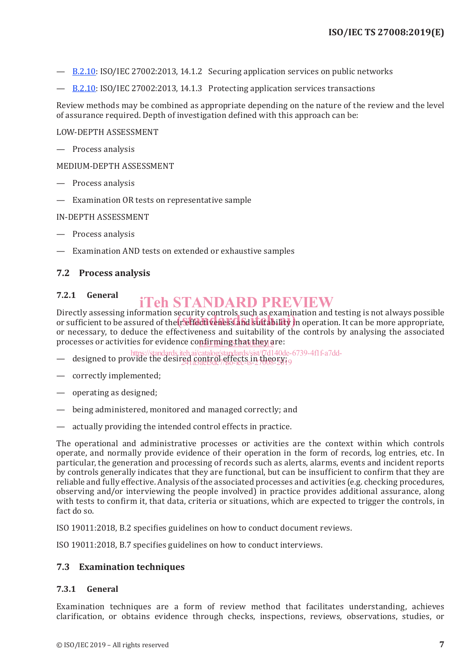- B.2.10: ISO/IEC 27002:2013, 14.1.2 Securing application services on public networks
- B.2.10: ISO/IEC 27002:2013, 14.1.3 Protecting application services transactions

Review methods may be combined as appropriate depending on the nature of the review and the level of assurance required. Depth of investigation defined with this approach can be:

#### LOW-DEPTH ASSESSMENT

— Process analysis

MEDIUM-DEPTH ASSESSMENT

- Process analysis
- Examination OR tests on representative sample

#### IN-DEPTH ASSESSMENT

- Process analysis
- Examination AND tests on extended or exhaustive samples

#### **7.2 Process analysis**

#### **7.2.1 General** iTeh STANDARD PREVIEW

Directly assessing information security controls such as examination and testing is not always possible Directly assessing information security controls such as examination and testing is not always possible<br>or sufficient to be assured of their effectiveness and suftability in operation. It can be more appropriate, or necessary, to deduce the effectiveness and suitability of the controls by analysing the associated processes or activities for evidence co<u>nfirming that they a</u>re:

- https://standards.iteh.ai/catalog/standards/sist/f7d140de-6739-4f1f-a7dd-
- designed to provide the desired control effects in theory;<br>44 apachoaches in theory; 241a3aef3dc7/iso-iec-ts-27008-2019
- correctly implemented;
- operating as designed;
- being administered, monitored and managed correctly; and
- actually providing the intended control effects in practice.

The operational and administrative processes or activities are the context within which controls operate, and normally provide evidence of their operation in the form of records, log entries, etc. In particular, the generation and processing of records such as alerts, alarms, events and incident reports by controls generally indicates that they are functional, but can be insufficient to confirm that they are reliable and fully effective. Analysis of the associated processes and activities (e.g. checking procedures, observing and/or interviewing the people involved) in practice provides additional assurance, along with tests to confirm it, that data, criteria or situations, which are expected to trigger the controls, in fact do so.

ISO 19011:2018, B.2 specifies guidelines on how to conduct document reviews.

ISO 19011:2018, B.7 specifies guidelines on how to conduct interviews.

#### **7.3 Examination techniques**

#### **7.3.1 General**

Examination techniques are a form of review method that facilitates understanding, achieves clarification, or obtains evidence through checks, inspections, reviews, observations, studies, or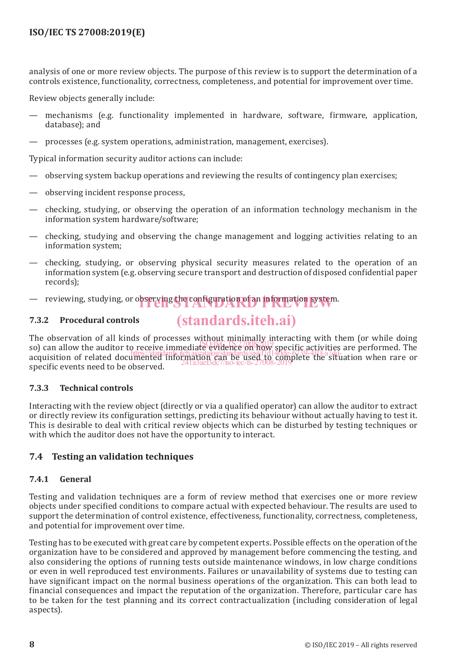analysis of one or more review objects. The purpose of this review is to support the determination of a controls existence, functionality, correctness, completeness, and potential for improvement over time.

Review objects generally include:

- mechanisms (e.g. functionality implemented in hardware, software, firmware, application, database); and
- processes (e.g. system operations, administration, management, exercises).

Typical information security auditor actions can include:

- observing system backup operations and reviewing the results of contingency plan exercises;
- observing incident response process,
- checking, studying, or observing the operation of an information technology mechanism in the information system hardware/software;
- checking, studying and observing the change management and logging activities relating to an information system;
- checking, studying, or observing physical security measures related to the operation of an information system (e.g. observing secure transport and destruction of disposed confidential paper records);
- reviewing, studying, or observing the configuration of an information system.

#### **7.3.2 Procedural controls**

## (standards.iteh.ai)

The observation of all kinds of processes without minimally interacting with them (or while doing so) can allow the auditor to receive immediate evidence on how specific activities are performed. The solid and the section of the section of the section of the section of the section of the section of the section of the s so) can anow the attactor to receive the situation can be used to complete the situation when rare or acquisition of related documented information  $\frac{1}{2}$  and  $\frac{1}{2}$  and  $\frac{1}{2}$  and  $\frac{1}{2}$  and  $\frac{1}{2}$  and  $\frac{$ specific events need to be observed. 241a3aef3dc7/iso-iec-ts-27008-2019

#### **7.3.3 Technical controls**

Interacting with the review object (directly or via a qualified operator) can allow the auditor to extract or directly review its configuration settings, predicting its behaviour without actually having to test it. This is desirable to deal with critical review objects which can be disturbed by testing techniques or with which the auditor does not have the opportunity to interact.

#### **7.4 Testing an validation techniques**

#### **7.4.1 General**

Testing and validation techniques are a form of review method that exercises one or more review objects under specified conditions to compare actual with expected behaviour. The results are used to support the determination of control existence, effectiveness, functionality, correctness, completeness, and potential for improvement over time.

Testing has to be executed with great care by competent experts. Possible effects on the operation of the organization have to be considered and approved by management before commencing the testing, and also considering the options of running tests outside maintenance windows, in low charge conditions or even in well reproduced test environments. Failures or unavailability of systems due to testing can have significant impact on the normal business operations of the organization. This can both lead to financial consequences and impact the reputation of the organization. Therefore, particular care has to be taken for the test planning and its correct contractualization (including consideration of legal aspects).